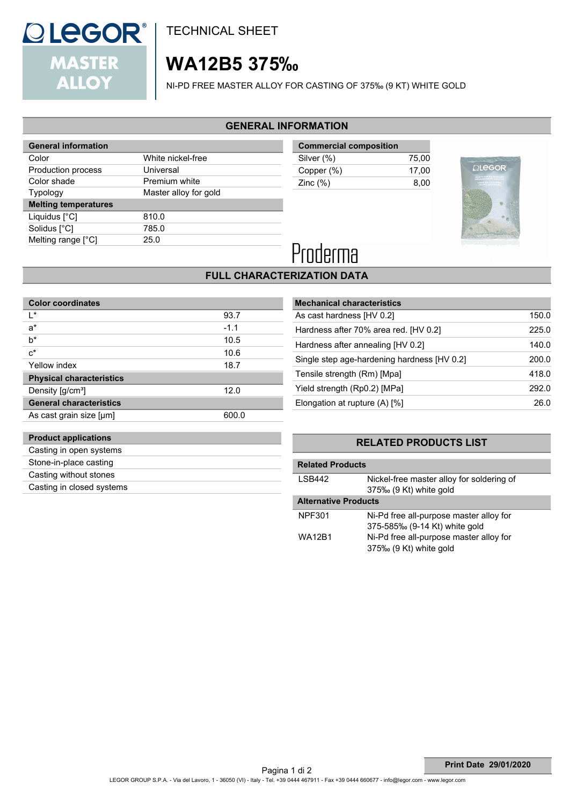

**Product applications** Casting in open systems Stone-in-place casting Casting without stones Casting in closed systems TECHNICAL SHEET

## **WA12B5 375‰**

NI-PD FREE MASTER ALLOY FOR CASTING OF 375‰ (9 KT) WHITE GOLD

### **GENERAL INFORMATION**

| <b>General information</b>  |                       |
|-----------------------------|-----------------------|
| Color                       | White nickel-free     |
| Production process          | Universal             |
| Color shade                 | Premium white         |
| Typology                    | Master alloy for gold |
| <b>Melting temperatures</b> |                       |
|                             |                       |
| Liquidus $[^{\circ}C]$      | 810.0                 |
| Solidus [°C]                | 785.0                 |
| Melting range [°C]          | 25.0                  |

| <b>Commercial composition</b> |       |
|-------------------------------|-------|
| Silver (%)                    | 75.00 |
| Copper (%)                    | 17.00 |
| Zinc $(\%)$                   | 8.00  |
|                               |       |



# Proderma

### **FULL CHARACTERIZATION DATA**

| <b>Color coordinates</b>        |        |
|---------------------------------|--------|
| l*                              | 93.7   |
| $a^*$                           | $-1.1$ |
| h*                              | 10.5   |
| $c^*$                           | 10.6   |
| Yellow index                    | 18.7   |
| <b>Physical characteristics</b> |        |
| Density [g/cm <sup>3</sup> ]    | 12.0   |
| <b>General characteristics</b>  |        |
| As cast grain size [µm]         | 600.0  |
|                                 |        |

| <b>Mechanical characteristics</b>           |       |
|---------------------------------------------|-------|
| As cast hardness [HV 0.2]                   | 150.0 |
| Hardness after 70% area red. [HV 0.2]       | 225.0 |
| Hardness after annealing [HV 0.2]           | 140.0 |
| Single step age-hardening hardness [HV 0.2] | 200.0 |
| Tensile strength (Rm) [Mpa]                 | 418.0 |
| Yield strength (Rp0.2) [MPa]                | 292.0 |
| Elongation at rupture $(A)$ [%]             | 26.0  |
|                                             |       |

### **RELATED PRODUCTS LIST**

| <b>Related Products</b>     |                                                                          |  |
|-----------------------------|--------------------------------------------------------------------------|--|
| I SB442                     | Nickel-free master alloy for soldering of<br>375‰ (9 Kt) white gold      |  |
| <b>Alternative Products</b> |                                                                          |  |
| NPF301                      | Ni-Pd free all-purpose master alloy for<br>375-585‰ (9-14 Kt) white gold |  |
| WA12B1                      | Ni-Pd free all-purpose master alloy for<br>375‰ (9 Kt) white gold        |  |